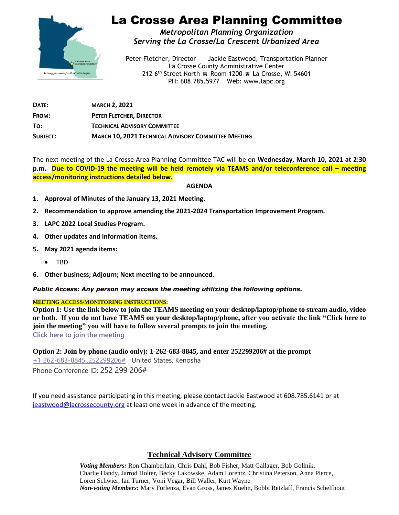

# La Crosse Area Planning Committee

*Metropolitan Planning Organization Serving the La Crosse/La Crescent Urbanized Area*

Peter Fletcher, Director Jackie Eastwood, Transportation Planner La Crosse County Administrative Center 212 6<sup>th</sup> Street North Room 1200 R La Crosse, WI 54601 PH: 608.785.5977 Web: www.lapc.org

| DATE:    | <b>MARCH 2, 2021</b>                                       |
|----------|------------------------------------------------------------|
| FROM:    | PETER FLETCHER, DIRECTOR                                   |
| TO:      | <b>TECHNICAL ADVISORY COMMITTEE</b>                        |
| SUBJECT: | <b>MARCH 10, 2021 TECHNICAL ADVISORY COMMITTEE MEETING</b> |

The next meeting of the La Crosse Area Planning Committee TAC will be on **Wednesday, March 10, 2021 at 2:30 p.m. Due to COVID-19 the meeting will be held remotely via TEAMS and/or teleconference call – meeting access/monitoring instructions detailed below.**

### **AGENDA**

- **1. Approval of Minutes of the January 13, 2021 Meeting.**
- **2. Recommendation to approve amending the 2021-2024 Transportation Improvement Program.**
- **3. LAPC 2022 Local Studies Program.**
- **4. Other updates and information items.**
- **5. May 2021 agenda items:**
	- TBD
- **6. Other business; Adjourn; Next meeting to be announced.**

*Public Access: Any person may access the meeting utilizing the following options.*

#### **MEETING ACCESS/MONITORING INSTRUCTIONS:**

**Option 1: Use the link below to join the TEAMS meeting on your desktop/laptop/phone to stream audio, video or both. If you do not have TEAMS on your desktop/laptop/phone, after you activate the link "Click here to join the meeting" you will have to follow several prompts to join the meeting. [Click here to join the meeting](https://teams.microsoft.com/l/meetup-join/19%3ameeting_NmM4OTJjYzYtZGJhOS00NGE4LWJhNzMtMTUzN2YzYWI1NjFi%40thread.v2/0?context=%7b%22Tid%22%3a%2290642ce5-3c11-4728-aa2d-fc5917738a93%22%2c%22Oid%22%3a%227ee6340e-e19c-424b-b54f-ca9e9dfac90c%22%7d)**

**Option 2: Join by phone (audio only): 1-262-683-8845, and enter 252299206# at the prompt**

[+1 262-683-8845,,252299206#](tel:+12626838845,,252299206# ) United States, Kenosha Phone Conference ID: 252 299 206#

If you need assistance participating in this meeting, please contact Jackie Eastwood at 608.785.6141 or at [jeastwood@lacrossecounty.org](mailto:jeastwood@lacrossecounty.org) at least one week in advance of the meeting.

### **Technical Advisory Committee**

*Voting Members:* Ron Chamberlain, Chris Dahl, Bob Fisher, Matt Gallager, Bob Gollnik, Charlie Handy, Jarrod Holter, Becky Lakowske, Adam Lorentz, Christina Peterson, Anna Pierce, Loren Schwier, Ian Turner, Voni Vegar, Bill Waller, Kurt Wayne *Non-voting Members:* Mary Forlenza, Evan Gross, James Kuehn, Bobbi Retzlaff, Francis Schelfhout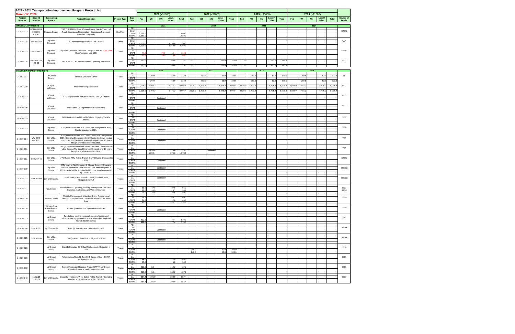| 2021 - 2024 Transportation Improvement Program Project List<br>March 17, 2020 |                                                                                 |                                                                                                                         |                                                                                                                          |                      |                                |                    | 2021 (x\$1000)<br>2022 (x\$1000) |                    |                  |         |                 |                                  | 2023 (x\$1000)                 |         |                 |                |              | 2024 (x\$1000) |                 |                  |              |                           |             |
|-------------------------------------------------------------------------------|---------------------------------------------------------------------------------|-------------------------------------------------------------------------------------------------------------------------|--------------------------------------------------------------------------------------------------------------------------|----------------------|--------------------------------|--------------------|----------------------------------|--------------------|------------------|---------|-----------------|----------------------------------|--------------------------------|---------|-----------------|----------------|--------------|----------------|-----------------|------------------|--------------|---------------------------|-------------|
| Project                                                                       | State ID<br>Sponsoring<br><b>Project Description</b><br><b>Number</b><br>Agency |                                                                                                                         | <b>Project Type</b>                                                                                                      | Exp.                 | Fed                            | WI<br><b>MN</b>    | Local<br>Other                   | <b>Total</b>       | Fed              | WI      | <b>MN</b>       | Local /<br><b>Total</b><br>Other | Fed                            | WI      | <b>MN</b>       | Local<br>Other | <b>Total</b> | Fed            | WI<br><b>MN</b> | Local /<br>Other | <b>Total</b> | Source of<br><b>Funds</b> |             |
| <b>Number</b><br><b>MINNESOTA PROJECTS</b>                                    |                                                                                 |                                                                                                                         |                                                                                                                          |                      | <b>Type</b>                    |                    | 2021                             |                    |                  |         |                 | 2022                             |                                |         |                 | 2023           |              |                |                 | 2024             |              |                           |             |
|                                                                               | ** AC**: CSAH 6, From Winona County Line to Town Hall<br>028-606-024,           |                                                                                                                         |                                                                                                                          | PE                   |                                |                    |                                  |                    |                  |         |                 |                                  |                                |         |                 |                |              |                |                 |                  |              | <b>STBG</b>               |             |
| 243-18-013                                                                    | 028-606-<br>024AC                                                               | Houston County                                                                                                          | Road, Bituminous Reclamation / Bituminous Pavement<br>(Need AC Payback)                                                  | Sys Pres             | Other<br>Const<br><b>TOTAL</b> | 1,680.0<br>1,680.0 |                                  |                    | 1,680.<br>1,680. |         |                 |                                  |                                |         |                 |                |              |                |                 |                  |              |                           |             |
|                                                                               | City of La                                                                      |                                                                                                                         |                                                                                                                          | PE<br>Other          |                                |                    |                                  |                    |                  |         |                 |                                  |                                |         |                 |                |              |                |                 |                  |              | TAP                       |             |
| 243-18-014                                                                    | 236-090-003                                                                     | Crescent                                                                                                                | La Crescent Wagon Wheel Trail Phase 3                                                                                    | Other                | CAPT<br><b>TOTAL</b>           | 1,000.0<br>1,000.0 |                                  | 1,250.0<br>1,250.0 | 2,250.<br>2,250. |         |                 |                                  |                                |         |                 |                |              |                |                 |                  |              |                           |             |
|                                                                               |                                                                                 | City of La                                                                                                              | City of La Crescent; Purchase One (1) Class 400 Low Floor                                                                |                      | PE<br>OA                       |                    |                                  |                    |                  |         |                 |                                  |                                |         |                 |                |              |                |                 |                  |              |                           | <b>STBG</b> |
| 243-20-032                                                                    | TRS-3780-21                                                                     | Crescent                                                                                                                | Bus (Replaces Unit 103)                                                                                                  | Transit              | CAPT<br><b>TOTAL</b>           | 77.6<br>77.6       | 70.<br>70.                       | 16.4<br>16.4       | 164<br>164.      |         |                 |                                  |                                |         |                 |                |              |                |                 |                  |              |                           |             |
|                                                                               | TRF-3780-21<br>City of La<br>243-09-015<br>22, 23                               |                                                                                                                         |                                                                                                                          |                      | PE<br>OA                       | 112.0              |                                  | 263.0              | 375.             | 112.0   |                 |                                  | 263.0<br>375.0                 | 112.0   |                 |                | 263.0        | 375.0          |                 |                  |              |                           |             |
|                                                                               |                                                                                 | Crescent                                                                                                                | SECT 5307: La Crescent Transit Operating Assistance                                                                      | Transit              | CAPT<br><b>TOTAL</b>           | 112.0              |                                  | 263.0              | 375.0            | 112.0   |                 |                                  | 263.0<br>375.0                 | 112.0   |                 |                | 263.0        | 375.0          |                 |                  |              |                           | 5307        |
|                                                                               |                                                                                 |                                                                                                                         |                                                                                                                          |                      |                                |                    | 2021                             |                    |                  |         |                 | 2022                             |                                |         |                 | 2023           |              |                |                 | 2024             |              |                           |             |
| <b>WISCONSIN TRANSIT PROJECTS</b>                                             | La Crosse                                                                       |                                                                                                                         |                                                                                                                          | PE                   |                                |                    |                                  |                    |                  |         |                 |                                  |                                |         |                 | 53.9           | 323.         |                | 269.6           | 53.9             |              |                           |             |
| 243-03-037                                                                    |                                                                                 | County                                                                                                                  | MiniBus, Volunteer Driver                                                                                                | Transit              | OA<br>CAPT<br><b>TOTAL</b>     |                    | 269.6<br>269.6                   | 53.9<br>53.9       | 323.5<br>323.5   |         | 269.6<br>269.6  |                                  | 53.9<br>323.5<br>53.9<br>323.5 |         | 269.6<br>269.6  |                | 53.9         | 323.5          |                 | 269.6            | 53.9         | 323.5<br>323.5            | SF          |
|                                                                               |                                                                                 |                                                                                                                         |                                                                                                                          |                      | PE                             |                    |                                  |                    |                  |         |                 |                                  |                                |         |                 |                |              |                |                 |                  |              |                           |             |
| 243-03-039                                                                    |                                                                                 | City of<br>LaCrosse                                                                                                     | MTU Operating Assistance                                                                                                 | Transit              | OA<br>CAPT                     | 2,028.0            | 1,493.2                          | 5,475.2            | 8,996.           | 2,028.0 | 1,493.2         |                                  | 5,475.2<br>8,996.4             | 2,028.0 | 1,493.2         |                | 5,475.2      | 8,996.4        | 2,028.0         | 1,493.2          | 5,475.2      | 8,996.                    | 5307        |
|                                                                               |                                                                                 |                                                                                                                         |                                                                                                                          |                      | <b>TOTAL</b><br>PE             | 2,028.0            | 1,493.2                          | 5,475.2            | 8,996.4          |         | 2,028.0 1,493.2 |                                  | 5,475.2<br>8,996.4             |         | 2,028.0 1,493.2 |                | 5,475.2      | 8,996.4        |                 | 2,028.0 1,493.2  | 5,475.2      | 8,996.4                   |             |
| 243-20-033                                                                    |                                                                                 | City of<br>LaCrosse                                                                                                     | MTU Replacement Service Vehicles, Two (2) Priuses                                                                        | Transit              | OA<br>CAPT                     |                    | Continued                        |                    |                  |         |                 |                                  |                                |         |                 |                |              |                |                 |                  |              |                           | 5307        |
|                                                                               |                                                                                 |                                                                                                                         |                                                                                                                          |                      | TOTAL<br>PE                    |                    |                                  |                    |                  |         |                 |                                  |                                |         |                 |                |              |                |                 |                  |              |                           |             |
| 243-20-034                                                                    |                                                                                 | City of<br>LaCrosse                                                                                                     | MTU Three (3) Replacement Service Vans                                                                                   | Transit              | OA<br>CAPT                     |                    | Continued                        |                    |                  |         |                 |                                  |                                |         |                 |                |              |                |                 |                  |              |                           | 5307        |
|                                                                               |                                                                                 |                                                                                                                         |                                                                                                                          |                      | <b>TOTAL</b><br>PE             |                    |                                  |                    |                  |         |                 |                                  |                                |         |                 |                |              |                |                 |                  |              |                           |             |
| 243-20-035<br>LaCrosse                                                        | City of                                                                         | MTU In-Ground and Movable Wheel Engaging Vehicle<br>Hoists                                                              | Transit                                                                                                                  | OA<br>CAPT           |                                | Continued          |                                  |                    |                  |         |                 |                                  |                                |         |                 |                |              |                |                 |                  |              | 5307                      |             |
|                                                                               |                                                                                 |                                                                                                                         |                                                                                                                          | <b>TOTAL</b><br>PE   |                                |                    |                                  |                    |                  |         |                 |                                  |                                |         |                 |                |              |                |                 |                  |              |                           |             |
| 243-19-033                                                                    |                                                                                 | City of La                                                                                                              | MTU purchase of one 35-ft Diesel Bus. Obligated in 2019.                                                                 | Transit              | OA<br>CAPT                     |                    |                                  |                    |                  |         |                 |                                  |                                |         |                 |                |              |                |                 |                  |              |                           | 5339        |
|                                                                               | Crosse                                                                          | Capital acquired in 2021.                                                                                               |                                                                                                                          | <b>TOTAL</b>         |                                | Continued          |                                  |                    |                  |         |                 |                                  |                                |         |                 |                |              |                |                 |                  |              |                           |             |
| 243-19-034                                                                    | VW-BUS-                                                                         | City of La                                                                                                              | MTU purchase of one 35-ft Clean Diesel Bus. Obligated in<br>2019. Capital will be acquired in 2021 due to delays created | Transit              | PE<br>OA                       |                    |                                  |                    |                  |         |                 |                                  |                                |         |                 |                |              |                |                 |                  |              |                           | VW          |
| LACR-01                                                                       | Crosse                                                                          | by COVID-19. (The Local Share will be paid over 10 years<br>through shared revenue reduction.)                          |                                                                                                                          | CAPT<br><b>TOTAL</b> |                                | Continued          |                                  |                    |                  |         |                 |                                  |                                |         |                 |                |              |                |                 |                  |              |                           |             |
| 243-21-001                                                                    | City of La                                                                      | Two (2) Replacement Fixed-Route Low-Floor Diesel-Electric<br>Hybrid Buses. (The Local Share will be paid over 10 years  | Transit                                                                                                                  | PE<br>OA             |                                |                    |                                  |                    |                  |         |                 |                                  |                                |         |                 |                |              |                |                 |                  |              | VW                        |             |
|                                                                               | Crosse                                                                          | through shared revenue reduction.)                                                                                      |                                                                                                                          | CAPT<br><b>TOTAL</b> |                                | 1,098.4<br>1,098.4 | 274.6<br>274.6                   | 1,373.<br>1,373.   |                  |         | Continued       |                                  |                                |         |                 |                |              |                |                 |                  |              |                           |             |
| 5991-07-40<br>243-19-031                                                      | City of La                                                                      | MTU Buses, MTU Public Transit, 3 MTU Buses, Obligated in                                                                | Transit                                                                                                                  | PE<br>OA             |                                |                    |                                  |                    |                  |         |                 |                                  |                                |         |                 |                |              |                |                 |                  |              | <b>STBG</b>               |             |
|                                                                               |                                                                                 | Crosse                                                                                                                  | 2020                                                                                                                     |                      | CAPT<br><b>TOTAL</b>           |                    | Continued                        |                    |                  |         |                 |                                  |                                |         |                 |                |              |                |                 |                  |              |                           |             |
| 243-19-019                                                                    | City of La                                                                      | MTU Low- or No-Emission - 2 Electric Buses, 2 Charging<br>Stations, Infrastructure on Electric Grid; funds obligated in | Transit                                                                                                                  | PE<br>OA             |                                | Continued          |                                  |                    |                  |         |                 |                                  |                                |         |                 |                |              |                |                 |                  |              | 5339(c)                   |             |
|                                                                               |                                                                                 | Crosse                                                                                                                  | 2019; capital will be acquired in 2021 due to delays created<br>by COVID-19                                              |                      | CAPT<br><b>TOTAL</b>           |                    |                                  |                    |                  |         |                 |                                  |                                |         |                 |                |              |                |                 |                  |              |                           |             |
| 243-19-032                                                                    |                                                                                 | 5991-02-60 City of Onalaska                                                                                             | Transit Vans, OHWS Public Transit, 5 Transit Vans,<br>Obligated in 2019                                                  | Transit              | PE<br>OA                       |                    | Continued                        |                    |                  |         |                 |                                  |                                |         |                 |                |              |                |                 |                  |              |                           | 5339(c)     |
|                                                                               |                                                                                 |                                                                                                                         |                                                                                                                          |                      | CAPT<br><b>TOTAL</b>           |                    |                                  |                    |                  |         |                 |                                  |                                |         |                 |                |              |                |                 |                  |              |                           |             |
| 243-18-027                                                                    |                                                                                 | Couleecap                                                                                                               | Vehicle Loans, Operating, Mobility Management (WETAP).                                                                   | Transit              | PE<br>OA                       | 10.0               | 17.8                             | 27.8               | 55.              |         |                 |                                  |                                |         |                 |                |              |                |                 |                  |              |                           | 5307        |
|                                                                               |                                                                                 | Crawford, La Crosse, and Vernon Counties                                                                                |                                                                                                                          | CAPT<br><b>TOTAL</b> | 10.0<br>20.0                   | 16.9<br>34.8       | 6.7<br>34.6                      | 33.<br>89.         |                  |         |                 |                                  |                                |         |                 |                |              |                |                 |                  |              | 85.24                     |             |
| 243-09-010                                                                    |                                                                                 | Vernon County                                                                                                           | Mobility Management, Volunteer Driver Program and<br>Vernon County Mini Bus. Serves locations in La Crosse               | Transit              | PE<br>OA                       | 26.2               |                                  | 43.1               | 69.3             |         |                 |                                  |                                |         |                 |                |              |                |                 |                  |              |                           | 5310        |
|                                                                               |                                                                                 | Area                                                                                                                    |                                                                                                                          | CAPT<br><b>TOTAL</b> | 34.8<br>61.0                   |                    | 12.0<br>55.1                     | 46.8<br>116.1      |                  |         |                 |                                  |                                |         |                 |                |              |                |                 |                  |              |                           |             |
| 243-20-018                                                                    |                                                                                 | Vernon Area<br>Rehabilitation                                                                                           | Three (3) medium bus replacement vehicles                                                                                | Transit              | PE<br>$\frac{OA}{CAPT}$        |                    |                                  |                    |                  |         |                 |                                  |                                |         |                 |                |              |                |                 |                  |              |                           | 5310        |
|                                                                               | Center                                                                          |                                                                                                                         |                                                                                                                          | <b>TOTAL</b>         |                                | Continued          |                                  |                    |                  |         |                 |                                  |                                |         |                 |                |              |                |                 |                  |              |                           |             |
| 243-20-013                                                                    |                                                                                 | La Crosse                                                                                                               | Twp battery electric cutaway buses and associated<br>infrastructure equipment for Scenic Mississippi Regional            | Transit              | PE<br>OA                       |                    |                                  |                    |                  |         |                 |                                  |                                |         |                 |                |              |                |                 |                  |              |                           | VW          |
|                                                                               | County                                                                          | Transit (SMRT) service                                                                                                  |                                                                                                                          | CAPT<br><b>TOTAL</b> | 492.6<br>492.6                 |                    | 77.4<br>77.4                     | 570.<br>570.0      |                  |         |                 |                                  |                                |         |                 |                |              |                |                 |                  |              |                           |             |
| 243-20-024<br>5991-02-01                                                      | City of Onalaska                                                                | Four (4) Transit Vans, Obligation in 2020                                                                               | Transit                                                                                                                  | PE<br>OA             |                                |                    |                                  |                    |                  |         |                 |                                  |                                |         |                 |                |              |                |                 |                  |              | <b>STBG</b>               |             |
|                                                                               |                                                                                 |                                                                                                                         |                                                                                                                          | CAPT<br><b>TOTAL</b> |                                | Continued          |                                  |                    |                  |         |                 |                                  |                                |         |                 |                |              |                |                 |                  |              |                           |             |
| 243-20-025<br>5991-05-00                                                      | City of La                                                                      | One (1) MTU Diesel Bus, Obligation in 2020                                                                              | Transit                                                                                                                  | PE<br>OA             |                                |                    |                                  |                    |                  |         |                 |                                  |                                |         |                 |                |              |                |                 |                  |              | <b>STBG</b>               |             |
|                                                                               | Crosse                                                                          |                                                                                                                         |                                                                                                                          | CAPT<br>TOTAL        |                                | Continued          |                                  |                    |                  |         |                 |                                  |                                |         |                 |                |              |                |                 |                  |              |                           |             |
| 243-20-026                                                                    | La Crosse<br>One (1) Standard 30-ft Bus Replacement, Obligation in              |                                                                                                                         | Transit                                                                                                                  | PE<br>OA             |                                |                    |                                  |                    |                  |         |                 |                                  |                                |         |                 |                |              |                |                 |                  |              | 5339                      |             |
|                                                                               | County                                                                          | 2022.                                                                                                                   |                                                                                                                          | CAPT<br><b>TOTAL</b> |                                |                    |                                  |                    | 240.0<br>240.0   |         |                 | 60.0<br>300.0<br>60.0<br>300.0   |                                |         |                 |                |              |                |                 |                  |              |                           |             |
| 243-20-036                                                                    | La Crosse                                                                       | Rehabilitation/Rebuild, Two 30-ft Buses (ADA) - SMRT,                                                                   | Transit                                                                                                                  | PE<br>OA             |                                |                    |                                  |                    |                  |         |                 |                                  |                                |         |                 |                |              |                |                 |                  |              | 5311                      |             |
|                                                                               | County<br>Obligated in 2021                                                     |                                                                                                                         |                                                                                                                          | CAPT<br><b>TOTAL</b> | 45.0<br>45.0                   |                    | 5.0<br>5.0                       | 50.0<br>50.0       |                  |         |                 |                                  |                                |         |                 |                |              |                |                 |                  |              |                           |             |
| 243-13-013                                                                    | La Crosse                                                                       | Scenic Mississippi Regional Transit (SMRT) La Crosse,                                                                   | Transit                                                                                                                  | PE<br>OA             | 213.6                          | 53.4               | 160.2                            | 427.2              |                  |         |                 |                                  |                                |         |                 |                |              |                |                 |                  |              | 5311                      |             |
|                                                                               |                                                                                 | County                                                                                                                  | Crawford, Monroe, and Vernon Counties                                                                                    |                      | CAPT<br><b>TOTAL</b>           | 213.6              | 53.4                             | 160.2              | 427.2            |         |                 |                                  |                                |         |                 |                |              |                |                 |                  |              |                           |             |
| 243-03-043                                                                    | 11.12.15                                                                        | City of Onalaska                                                                                                        | Onalaska / Holmen / West Salem Public Transit. Operating                                                                 | Transit              | PE<br>OA                       | 264.4              | 195.0                            | 398.0              | 857.             |         |                 |                                  |                                |         |                 |                |              |                |                 |                  |              |                           | 5307        |
|                                                                               | 11.93.02                                                                        |                                                                                                                         | Assistance, Additional vans (2017 - 2022)                                                                                |                      | CAPT<br><b>TOTAL</b>           | 264.4              | 195.0                            | 398.0              | 857.4            |         |                 |                                  |                                |         |                 |                |              |                |                 |                  |              |                           |             |